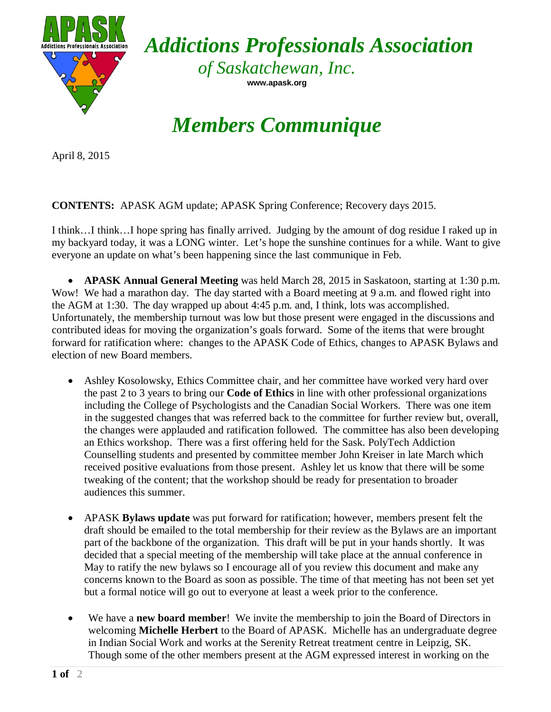

*Addictions Professionals Association*

*of Saskatchewan, Inc.* **www.apask.org**

## *Members Communique*

April 8, 2015

## **CONTENTS:** APASK AGM update; APASK Spring Conference; Recovery days 2015.

I think…I think…I hope spring has finally arrived. Judging by the amount of dog residue I raked up in my backyard today, it was a LONG winter. Let's hope the sunshine continues for a while. Want to give everyone an update on what's been happening since the last communique in Feb.

• **APASK Annual General Meeting** was held March 28, 2015 in Saskatoon, starting at 1:30 p.m. Wow! We had a marathon day. The day started with a Board meeting at 9 a.m. and flowed right into the AGM at 1:30. The day wrapped up about 4:45 p.m. and, I think, lots was accomplished. Unfortunately, the membership turnout was low but those present were engaged in the discussions and contributed ideas for moving the organization's goals forward. Some of the items that were brought forward for ratification where: changes to the APASK Code of Ethics, changes to APASK Bylaws and election of new Board members.

- Ashley Kosolowsky, Ethics Committee chair, and her committee have worked very hard over the past 2 to 3 years to bring our **Code of Ethics** in line with other professional organizations including the College of Psychologists and the Canadian Social Workers. There was one item in the suggested changes that was referred back to the committee for further review but, overall, the changes were applauded and ratification followed. The committee has also been developing an Ethics workshop. There was a first offering held for the Sask. PolyTech Addiction Counselling students and presented by committee member John Kreiser in late March which received positive evaluations from those present. Ashley let us know that there will be some tweaking of the content; that the workshop should be ready for presentation to broader audiences this summer.
- APASK **Bylaws update** was put forward for ratification; however, members present felt the draft should be emailed to the total membership for their review as the Bylaws are an important part of the backbone of the organization. This draft will be put in your hands shortly. It was decided that a special meeting of the membership will take place at the annual conference in May to ratify the new bylaws so I encourage all of you review this document and make any concerns known to the Board as soon as possible. The time of that meeting has not been set yet but a formal notice will go out to everyone at least a week prior to the conference.
- We have a **new board member**! We invite the membership to join the Board of Directors in welcoming **Michelle Herbert** to the Board of APASK. Michelle has an undergraduate degree in Indian Social Work and works at the Serenity Retreat treatment centre in Leipzig, SK. Though some of the other members present at the AGM expressed interest in working on the